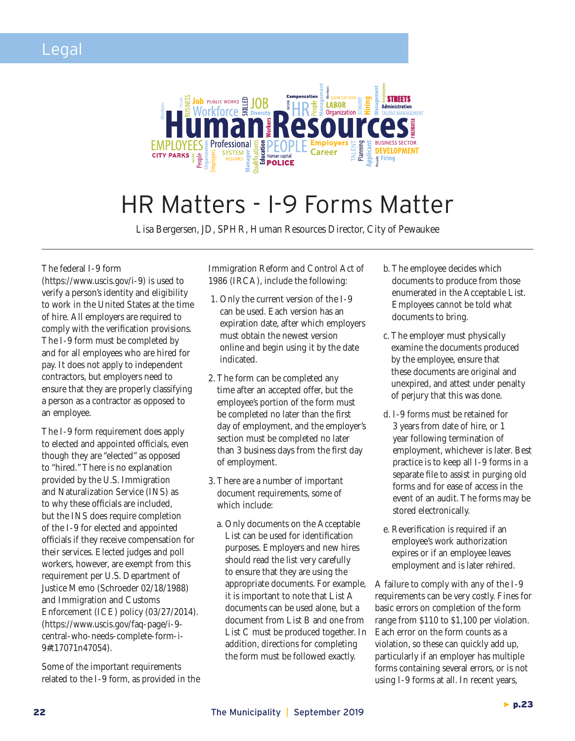

## HR Matters - I-9 Forms Matter

Lisa Bergersen, JD, SPHR, Human Resources Director, City of Pewaukee

## The federal I-9 form

(https://www.uscis.gov/i-9) is used to verify a person's identity and eligibility to work in the United States at the time of hire. All employers are required to comply with the verification provisions. The I-9 form must be completed by and for all employees who are hired for pay. It does not apply to independent contractors, but employers need to ensure that they are properly classifying a person as a contractor as opposed to an employee.

The I-9 form requirement does apply to elected and appointed officials, even though they are "elected" as opposed to "hired." There is no explanation provided by the U.S. Immigration and Naturalization Service (INS) as to why these officials are included, but the INS does require completion of the I-9 for elected and appointed officials if they receive compensation for their services. Elected judges and poll workers, however, are exempt from this requirement per U.S. Department of Justice Memo (Schroeder 02/18/1988) and Immigration and Customs Enforcement (ICE) policy (03/27/2014). (https://www.uscis.gov/faq-page/i-9 central-who-needs-complete-form-i-9#t17071n47054).

Some of the important requirements related to the I-9 form, as provided in the Immigration Reform and Control Act of 1986 (IRCA), include the following:

- 1. Only the current version of the I-9 can be used. Each version has an expiration date, after which employers must obtain the newest version online and begin using it by the date indicated.
- 2. The form can be completed any time after an accepted offer, but the employee's portion of the form must be completed no later than the first day of employment, and the employer's section must be completed no later than 3 business days from the first day of employment.
- 3. There are a number of important document requirements, some of which include:
	- a. Only documents on the Acceptable List can be used for identification purposes. Employers and new hires should read the list very carefully to ensure that they are using the appropriate documents. For example, it is important to note that List A documents can be used alone, but a document from List B and one from List C must be produced together. In addition, directions for completing the form must be followed exactly.
- b. The employee decides which documents to produce from those enumerated in the Acceptable List. Employees cannot be told what documents to bring.
- c. The employer must physically examine the documents produced by the employee, ensure that these documents are original and unexpired, and attest under penalty of perjury that this was done.
- d. I-9 forms must be retained for 3 years from date of hire, or 1 year following termination of employment, whichever is later. Best practice is to keep all I-9 forms in a separate file to assist in purging old forms and for ease of access in the event of an audit. The forms may be stored electronically.
- e. Reverification is required if an employee's work authorization expires or if an employee leaves employment and is later rehired.

A failure to comply with any of the I-9 requirements can be very costly. Fines for basic errors on completion of the form range from \$110 to \$1,100 per violation. Each error on the form counts as a violation, so these can quickly add up, particularly if an employer has multiple forms containing several errors, or is not using I-9 forms at all. In recent years,